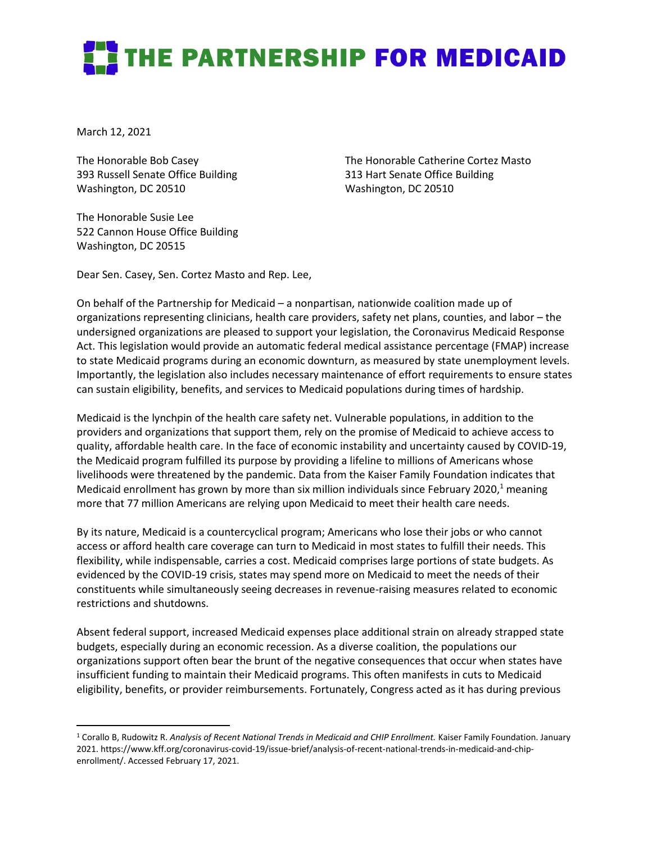## **THE PARTNERSHIP FOR MEDICAID**

March 12, 2021

The Honorable Bob Casey 393 Russell Senate Office Building Washington, DC 20510

The Honorable Susie Lee 522 Cannon House Office Building Washington, DC 20515

The Honorable Catherine Cortez Masto 313 Hart Senate Office Building Washington, DC 20510

Dear Sen. Casey, Sen. Cortez Masto and Rep. Lee,

On behalf of the Partnership for Medicaid – a nonpartisan, nationwide coalition made up of organizations representing clinicians, health care providers, safety net plans, counties, and labor – the undersigned organizations are pleased to support your legislation, the Coronavirus Medicaid Response Act. This legislation would provide an automatic federal medical assistance percentage (FMAP) increase to state Medicaid programs during an economic downturn, as measured by state unemployment levels. Importantly, the legislation also includes necessary maintenance of effort requirements to ensure states can sustain eligibility, benefits, and services to Medicaid populations during times of hardship.

Medicaid is the lynchpin of the health care safety net. Vulnerable populations, in addition to the providers and organizations that support them, rely on the promise of Medicaid to achieve access to quality, affordable health care. In the face of economic instability and uncertainty caused by COVID-19, the Medicaid program fulfilled its purpose by providing a lifeline to millions of Americans whose livelihoods were threatened by the pandemic. Data from the Kaiser Family Foundation indicates that Medicaid enrollment has grown by more than six million individuals since February 2020,<sup>1</sup> meaning more that 77 million Americans are relying upon Medicaid to meet their health care needs.

By its nature, Medicaid is a countercyclical program; Americans who lose their jobs or who cannot access or afford health care coverage can turn to Medicaid in most states to fulfill their needs. This flexibility, while indispensable, carries a cost. Medicaid comprises large portions of state budgets. As evidenced by the COVID-19 crisis, states may spend more on Medicaid to meet the needs of their constituents while simultaneously seeing decreases in revenue-raising measures related to economic restrictions and shutdowns.

Absent federal support, increased Medicaid expenses place additional strain on already strapped state budgets, especially during an economic recession. As a diverse coalition, the populations our organizations support often bear the brunt of the negative consequences that occur when states have insufficient funding to maintain their Medicaid programs. This often manifests in cuts to Medicaid eligibility, benefits, or provider reimbursements. Fortunately, Congress acted as it has during previous

<sup>1</sup> Corallo B, Rudowitz R. *Analysis of Recent National Trends in Medicaid and CHIP Enrollment.* Kaiser Family Foundation. January 2021. https://www.kff.org/coronavirus-covid-19/issue-brief/analysis-of-recent-national-trends-in-medicaid-and-chipenrollment/. Accessed February 17, 2021.